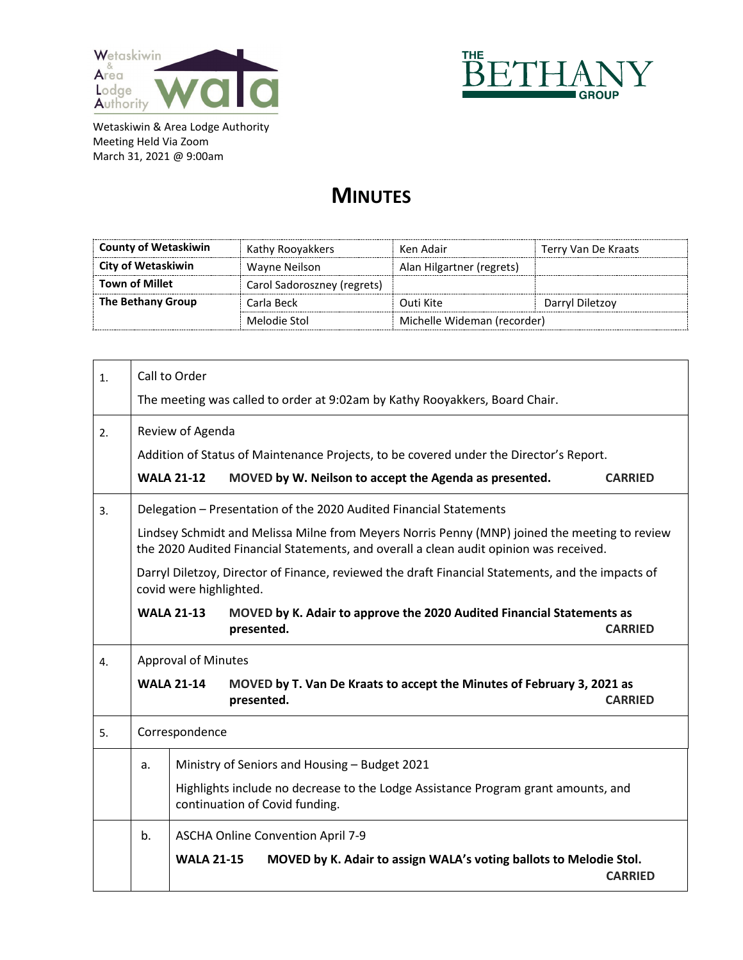



## **MINUTES**

| <b>County of Wetaskiwin</b> | Kathy Rooyakkers            | Ken Adair                   | Terry Van De Kraats |
|-----------------------------|-----------------------------|-----------------------------|---------------------|
| City of Wetaskiwin          | Wayne Neilson               | Alan Hilgartner (regrets)   |                     |
| <b>Town of Millet</b>       | Carol Sadoroszney (regrets) |                             |                     |
| The Bethany Group           | Carla Beck                  | Outi Kite                   | Darryl Diletzoy     |
|                             | Melodie Stol                | Michelle Wideman (recorder) |                     |

| $\mathbf{1}$ . | Call to Order                                                                                                                                                                           |                                                                                                                              |  |  |  |  |
|----------------|-----------------------------------------------------------------------------------------------------------------------------------------------------------------------------------------|------------------------------------------------------------------------------------------------------------------------------|--|--|--|--|
|                | The meeting was called to order at 9:02am by Kathy Rooyakkers, Board Chair.                                                                                                             |                                                                                                                              |  |  |  |  |
| 2.             |                                                                                                                                                                                         | Review of Agenda                                                                                                             |  |  |  |  |
|                |                                                                                                                                                                                         | Addition of Status of Maintenance Projects, to be covered under the Director's Report.                                       |  |  |  |  |
|                |                                                                                                                                                                                         | <b>WALA 21-12</b><br>MOVED by W. Neilson to accept the Agenda as presented.<br><b>CARRIED</b>                                |  |  |  |  |
| 3.             |                                                                                                                                                                                         | Delegation - Presentation of the 2020 Audited Financial Statements                                                           |  |  |  |  |
|                | Lindsey Schmidt and Melissa Milne from Meyers Norris Penny (MNP) joined the meeting to review<br>the 2020 Audited Financial Statements, and overall a clean audit opinion was received. |                                                                                                                              |  |  |  |  |
|                |                                                                                                                                                                                         | Darryl Diletzoy, Director of Finance, reviewed the draft Financial Statements, and the impacts of<br>covid were highlighted. |  |  |  |  |
|                |                                                                                                                                                                                         | <b>WALA 21-13</b><br>MOVED by K. Adair to approve the 2020 Audited Financial Statements as<br>presented.<br><b>CARRIED</b>   |  |  |  |  |
| 4.             | <b>Approval of Minutes</b>                                                                                                                                                              |                                                                                                                              |  |  |  |  |
|                |                                                                                                                                                                                         | <b>WALA 21-14</b><br>MOVED by T. Van De Kraats to accept the Minutes of February 3, 2021 as<br><b>CARRIED</b><br>presented.  |  |  |  |  |
| 5.             | Correspondence                                                                                                                                                                          |                                                                                                                              |  |  |  |  |
|                | a.                                                                                                                                                                                      | Ministry of Seniors and Housing - Budget 2021                                                                                |  |  |  |  |
|                |                                                                                                                                                                                         | Highlights include no decrease to the Lodge Assistance Program grant amounts, and<br>continuation of Covid funding.          |  |  |  |  |
|                | b.                                                                                                                                                                                      | ASCHA Online Convention April 7-9                                                                                            |  |  |  |  |
|                |                                                                                                                                                                                         | MOVED by K. Adair to assign WALA's voting ballots to Melodie Stol.<br><b>WALA 21-15</b><br><b>CARRIED</b>                    |  |  |  |  |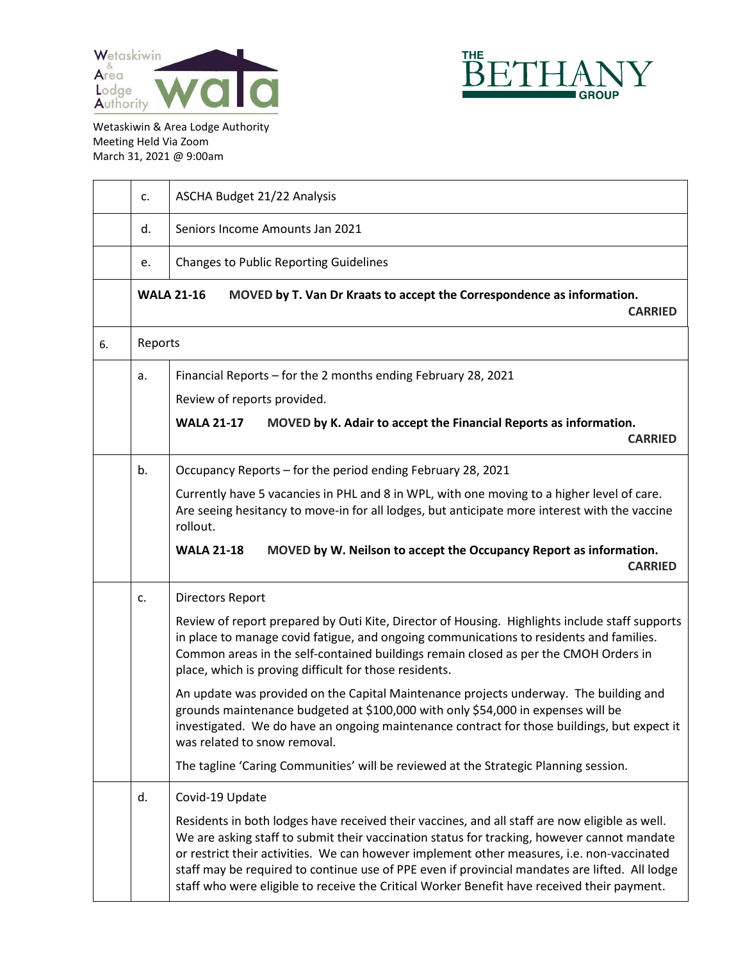



|    | c.      | ASCHA Budget 21/22 Analysis                                                                                                                                                                                                                                                                                                                                                                                                                                                                                                                                                                                                                                                                                                                                                |
|----|---------|----------------------------------------------------------------------------------------------------------------------------------------------------------------------------------------------------------------------------------------------------------------------------------------------------------------------------------------------------------------------------------------------------------------------------------------------------------------------------------------------------------------------------------------------------------------------------------------------------------------------------------------------------------------------------------------------------------------------------------------------------------------------------|
|    | d.      | Seniors Income Amounts Jan 2021                                                                                                                                                                                                                                                                                                                                                                                                                                                                                                                                                                                                                                                                                                                                            |
|    | e.      | <b>Changes to Public Reporting Guidelines</b>                                                                                                                                                                                                                                                                                                                                                                                                                                                                                                                                                                                                                                                                                                                              |
|    |         | <b>WALA 21-16</b><br>MOVED by T. Van Dr Kraats to accept the Correspondence as information.<br><b>CARRIED</b>                                                                                                                                                                                                                                                                                                                                                                                                                                                                                                                                                                                                                                                              |
| 6. | Reports |                                                                                                                                                                                                                                                                                                                                                                                                                                                                                                                                                                                                                                                                                                                                                                            |
|    | a.      | Financial Reports - for the 2 months ending February 28, 2021<br>Review of reports provided.<br>MOVED by K. Adair to accept the Financial Reports as information.<br><b>WALA 21-17</b><br><b>CARRIED</b>                                                                                                                                                                                                                                                                                                                                                                                                                                                                                                                                                                   |
|    | b.      | Occupancy Reports - for the period ending February 28, 2021<br>Currently have 5 vacancies in PHL and 8 in WPL, with one moving to a higher level of care.<br>Are seeing hesitancy to move-in for all lodges, but anticipate more interest with the vaccine<br>rollout.<br>MOVED by W. Neilson to accept the Occupancy Report as information.<br><b>WALA 21-18</b><br><b>CARRIED</b>                                                                                                                                                                                                                                                                                                                                                                                        |
|    | c.      | <b>Directors Report</b><br>Review of report prepared by Outi Kite, Director of Housing. Highlights include staff supports<br>in place to manage covid fatigue, and ongoing communications to residents and families.<br>Common areas in the self-contained buildings remain closed as per the CMOH Orders in<br>place, which is proving difficult for those residents.<br>An update was provided on the Capital Maintenance projects underway. The building and<br>grounds maintenance budgeted at \$100,000 with only \$54,000 in expenses will be<br>investigated. We do have an ongoing maintenance contract for those buildings, but expect it<br>was related to snow removal.<br>The tagline 'Caring Communities' will be reviewed at the Strategic Planning session. |
|    | d.      | Covid-19 Update<br>Residents in both lodges have received their vaccines, and all staff are now eligible as well.<br>We are asking staff to submit their vaccination status for tracking, however cannot mandate<br>or restrict their activities. We can however implement other measures, i.e. non-vaccinated<br>staff may be required to continue use of PPE even if provincial mandates are lifted. All lodge<br>staff who were eligible to receive the Critical Worker Benefit have received their payment.                                                                                                                                                                                                                                                            |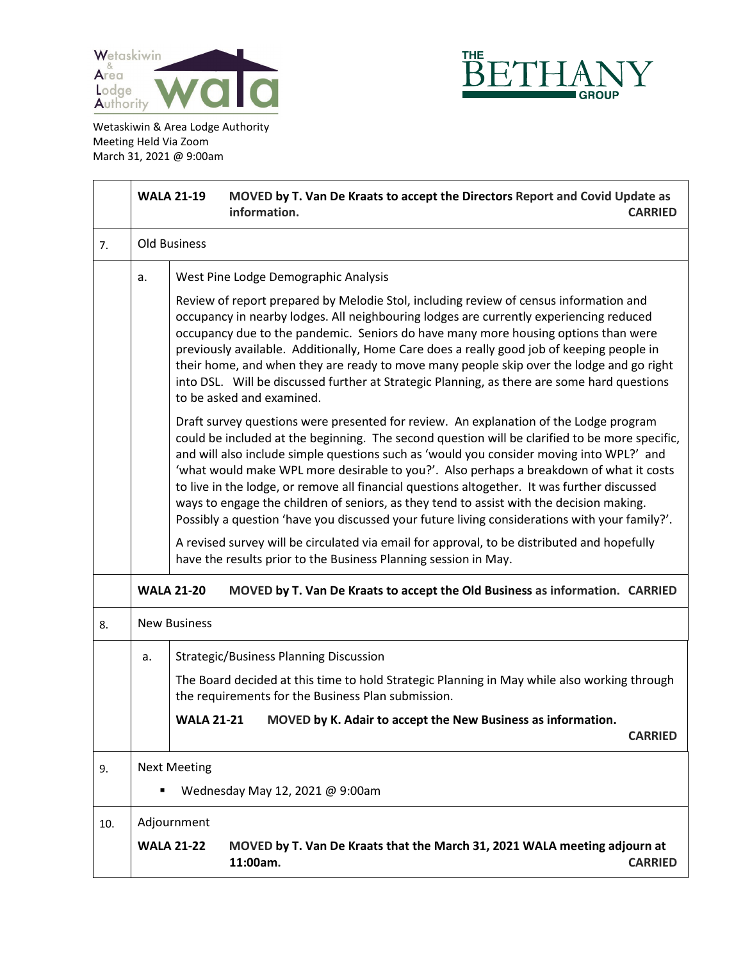



|     |                                                        | MOVED by T. Van De Kraats to accept the Directors Report and Covid Update as<br><b>WALA 21-19</b><br>information.<br><b>CARRIED</b>                                                                                                                                                                                                                                                                                                                                                                                                                                                                                                                                                                                                                                                                                                                                                                                                                                                                                  |  |  |
|-----|--------------------------------------------------------|----------------------------------------------------------------------------------------------------------------------------------------------------------------------------------------------------------------------------------------------------------------------------------------------------------------------------------------------------------------------------------------------------------------------------------------------------------------------------------------------------------------------------------------------------------------------------------------------------------------------------------------------------------------------------------------------------------------------------------------------------------------------------------------------------------------------------------------------------------------------------------------------------------------------------------------------------------------------------------------------------------------------|--|--|
| 7.  |                                                        | <b>Old Business</b>                                                                                                                                                                                                                                                                                                                                                                                                                                                                                                                                                                                                                                                                                                                                                                                                                                                                                                                                                                                                  |  |  |
|     | a.                                                     | West Pine Lodge Demographic Analysis<br>Review of report prepared by Melodie Stol, including review of census information and<br>occupancy in nearby lodges. All neighbouring lodges are currently experiencing reduced<br>occupancy due to the pandemic. Seniors do have many more housing options than were<br>previously available. Additionally, Home Care does a really good job of keeping people in<br>their home, and when they are ready to move many people skip over the lodge and go right<br>into DSL. Will be discussed further at Strategic Planning, as there are some hard questions<br>to be asked and examined.<br>Draft survey questions were presented for review. An explanation of the Lodge program<br>could be included at the beginning. The second question will be clarified to be more specific,<br>and will also include simple questions such as 'would you consider moving into WPL?' and<br>'what would make WPL more desirable to you?'. Also perhaps a breakdown of what it costs |  |  |
|     |                                                        | to live in the lodge, or remove all financial questions altogether. It was further discussed<br>ways to engage the children of seniors, as they tend to assist with the decision making.<br>Possibly a question 'have you discussed your future living considerations with your family?'.<br>A revised survey will be circulated via email for approval, to be distributed and hopefully<br>have the results prior to the Business Planning session in May.<br><b>WALA 21-20</b>                                                                                                                                                                                                                                                                                                                                                                                                                                                                                                                                     |  |  |
| 8.  |                                                        | MOVED by T. Van De Kraats to accept the Old Business as information. CARRIED<br><b>New Business</b>                                                                                                                                                                                                                                                                                                                                                                                                                                                                                                                                                                                                                                                                                                                                                                                                                                                                                                                  |  |  |
|     | a.                                                     | <b>Strategic/Business Planning Discussion</b><br>The Board decided at this time to hold Strategic Planning in May while also working through<br>the requirements for the Business Plan submission.                                                                                                                                                                                                                                                                                                                                                                                                                                                                                                                                                                                                                                                                                                                                                                                                                   |  |  |
|     |                                                        | <b>WALA 21-21</b><br>MOVED by K. Adair to accept the New Business as information<br><b>CARRIED</b>                                                                                                                                                                                                                                                                                                                                                                                                                                                                                                                                                                                                                                                                                                                                                                                                                                                                                                                   |  |  |
| 9.  | <b>Next Meeting</b><br>Wednesday May 12, 2021 @ 9:00am |                                                                                                                                                                                                                                                                                                                                                                                                                                                                                                                                                                                                                                                                                                                                                                                                                                                                                                                                                                                                                      |  |  |
| 10. |                                                        | Adjournment<br>MOVED by T. Van De Kraats that the March 31, 2021 WALA meeting adjourn at<br><b>WALA 21-22</b><br>11:00am.<br><b>CARRIED</b>                                                                                                                                                                                                                                                                                                                                                                                                                                                                                                                                                                                                                                                                                                                                                                                                                                                                          |  |  |